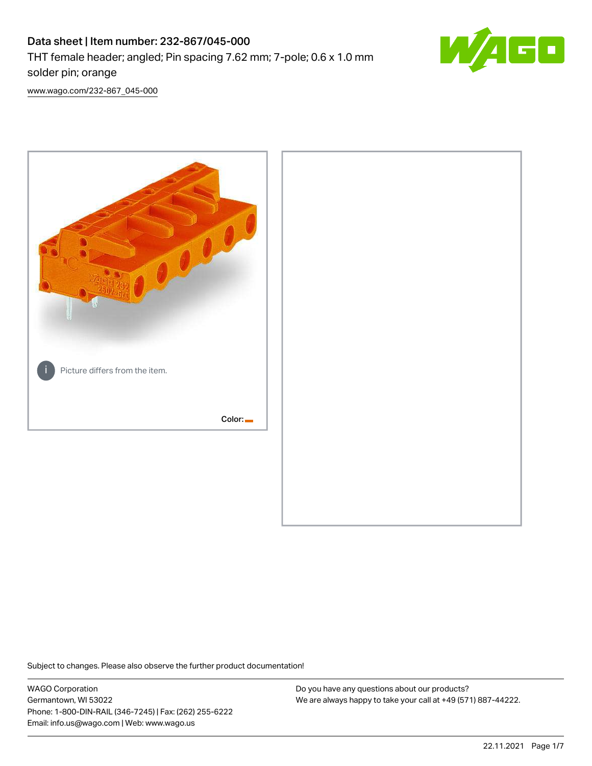# Data sheet | Item number: 232-867/045-000 THT female header; angled; Pin spacing 7.62 mm; 7-pole; 0.6 x 1.0 mm solder pin; orange



[www.wago.com/232-867\\_045-000](http://www.wago.com/232-867_045-000)



Subject to changes. Please also observe the further product documentation!

WAGO Corporation Germantown, WI 53022 Phone: 1-800-DIN-RAIL (346-7245) | Fax: (262) 255-6222 Email: info.us@wago.com | Web: www.wago.us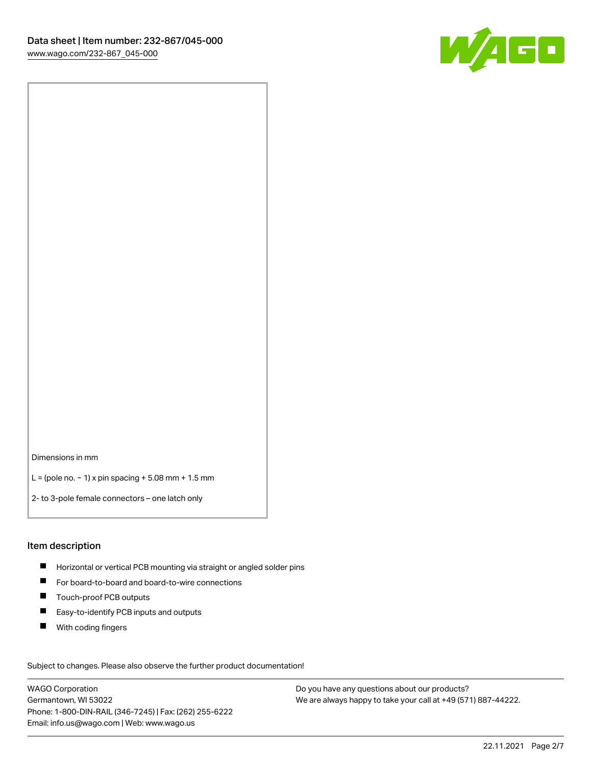

Dimensions in mm

L = (pole no. − 1) x pin spacing + 5.08 mm + 1.5 mm

2- to 3-pole female connectors – one latch only

#### Item description

- **H** Horizontal or vertical PCB mounting via straight or angled solder pins
- For board-to-board and board-to-wire connections
- Touch-proof PCB outputs  $\blacksquare$
- $\blacksquare$ Easy-to-identify PCB inputs and outputs
- **With coding fingers**

Subject to changes. Please also observe the further product documentation! Data

WAGO Corporation Germantown, WI 53022 Phone: 1-800-DIN-RAIL (346-7245) | Fax: (262) 255-6222 Email: info.us@wago.com | Web: www.wago.us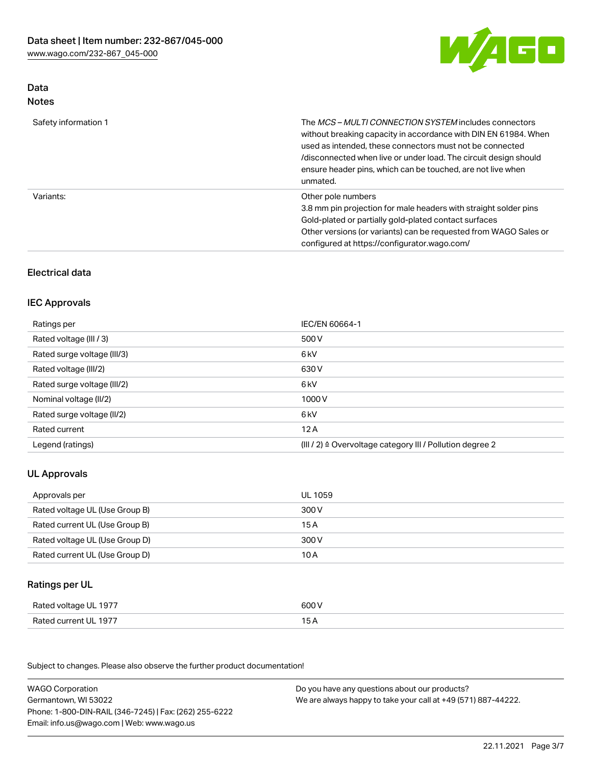

# Data Notes

| Safety information 1 | The MCS-MULTI CONNECTION SYSTEM includes connectors<br>without breaking capacity in accordance with DIN EN 61984. When<br>used as intended, these connectors must not be connected<br>/disconnected when live or under load. The circuit design should<br>ensure header pins, which can be touched, are not live when<br>unmated. |
|----------------------|-----------------------------------------------------------------------------------------------------------------------------------------------------------------------------------------------------------------------------------------------------------------------------------------------------------------------------------|
| Variants:            | Other pole numbers<br>3.8 mm pin projection for male headers with straight solder pins<br>Gold-plated or partially gold-plated contact surfaces<br>Other versions (or variants) can be requested from WAGO Sales or<br>configured at https://configurator.wago.com/                                                               |

# Electrical data

## IEC Approvals

| Ratings per                 | IEC/EN 60664-1                                                        |
|-----------------------------|-----------------------------------------------------------------------|
| Rated voltage (III / 3)     | 500 V                                                                 |
| Rated surge voltage (III/3) | 6 kV                                                                  |
| Rated voltage (III/2)       | 630 V                                                                 |
| Rated surge voltage (III/2) | 6 kV                                                                  |
| Nominal voltage (II/2)      | 1000 V                                                                |
| Rated surge voltage (II/2)  | 6 kV                                                                  |
| Rated current               | 12A                                                                   |
| Legend (ratings)            | $(III / 2)$ $\triangle$ Overvoltage category III / Pollution degree 2 |

# UL Approvals

| Approvals per                  | UL 1059 |
|--------------------------------|---------|
| Rated voltage UL (Use Group B) | 300 V   |
| Rated current UL (Use Group B) | 15 A    |
| Rated voltage UL (Use Group D) | 300 V   |
| Rated current UL (Use Group D) | 10 A    |

# Ratings per UL

| Rated voltage UL 1977 | 600 V |
|-----------------------|-------|
| Rated current UL 1977 |       |

Subject to changes. Please also observe the further product documentation!

| <b>WAGO Corporation</b>                                | Do you have any questions about our products?                 |
|--------------------------------------------------------|---------------------------------------------------------------|
| Germantown, WI 53022                                   | We are always happy to take your call at +49 (571) 887-44222. |
| Phone: 1-800-DIN-RAIL (346-7245)   Fax: (262) 255-6222 |                                                               |
| Email: info.us@wago.com   Web: www.wago.us             |                                                               |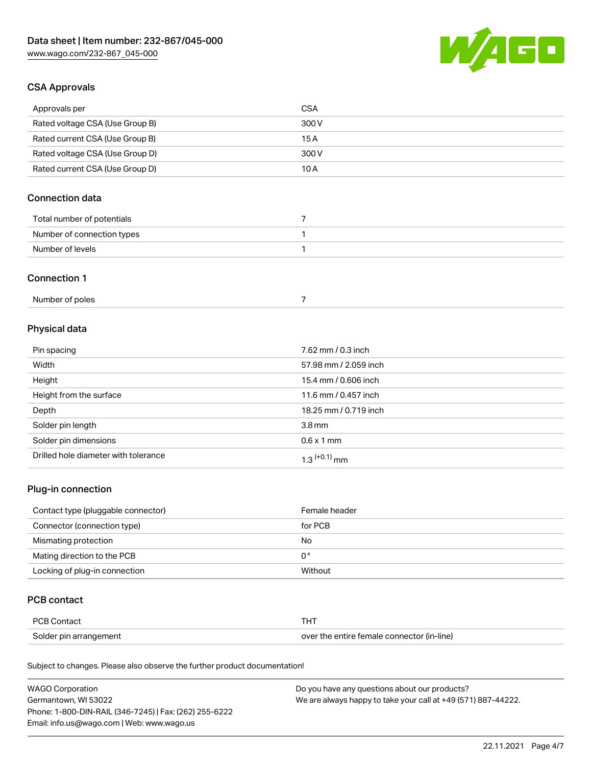

# CSA Approvals

| Approvals per                   | CSA   |
|---------------------------------|-------|
| Rated voltage CSA (Use Group B) | 300 V |
| Rated current CSA (Use Group B) | 15 A  |
| Rated voltage CSA (Use Group D) | 300 V |
| Rated current CSA (Use Group D) | 10 A  |

# Connection data

| Total number of potentials |  |
|----------------------------|--|
| Number of connection types |  |
| Number of levels           |  |

## Connection 1

| Number of poles |
|-----------------|
|-----------------|

# Physical data

| Pin spacing                          | 7.62 mm / 0.3 inch    |
|--------------------------------------|-----------------------|
| Width                                | 57.98 mm / 2.059 inch |
| Height                               | 15.4 mm / 0.606 inch  |
| Height from the surface              | 11.6 mm / 0.457 inch  |
| Depth                                | 18.25 mm / 0.719 inch |
| Solder pin length                    | 3.8 <sub>mm</sub>     |
| Solder pin dimensions                | $0.6 \times 1$ mm     |
| Drilled hole diameter with tolerance | $1.3$ $(+0.1)$ mm     |

# Plug-in connection

| Contact type (pluggable connector) | Female header |
|------------------------------------|---------------|
| Connector (connection type)        | for PCB       |
| Mismating protection               | No            |
| Mating direction to the PCB        | 0°            |
| Locking of plug-in connection      | Without       |

## PCB contact

| PCB Contact            | THT                                        |
|------------------------|--------------------------------------------|
| Solder pin arrangement | over the entire female connector (in-line) |

Subject to changes. Please also observe the further product documentation!

| <b>WAGO Corporation</b>                                | Do you have any questions about our products?                 |
|--------------------------------------------------------|---------------------------------------------------------------|
| Germantown, WI 53022                                   | We are always happy to take your call at +49 (571) 887-44222. |
| Phone: 1-800-DIN-RAIL (346-7245)   Fax: (262) 255-6222 |                                                               |
| Email: info.us@wago.com   Web: www.wago.us             |                                                               |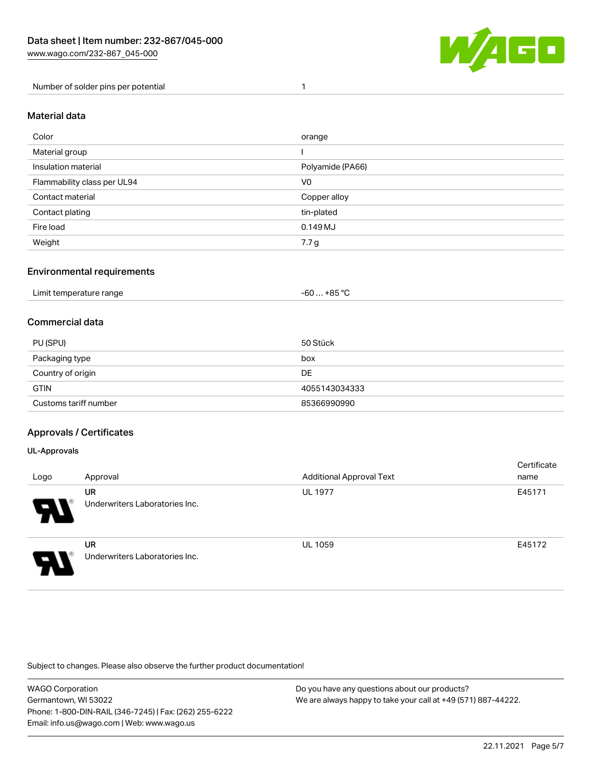

Number of solder pins per potential 1

#### Material data

| Color                       | orange           |
|-----------------------------|------------------|
| Material group              |                  |
| Insulation material         | Polyamide (PA66) |
| Flammability class per UL94 | V <sub>0</sub>   |
| Contact material            | Copper alloy     |
| Contact plating             | tin-plated       |
| Fire load                   | 0.149 MJ         |
| Weight                      | 7.7 g            |

## Environmental requirements

## Commercial data

| PU (SPU)              | 50 Stück      |
|-----------------------|---------------|
| Packaging type        | box           |
| Country of origin     | <b>DE</b>     |
| <b>GTIN</b>           | 4055143034333 |
| Customs tariff number | 85366990990   |

## Approvals / Certificates

#### UL-Approvals

ш

| Logo | Approval                             | <b>Additional Approval Text</b> | Certificate<br>name |
|------|--------------------------------------|---------------------------------|---------------------|
| 8    | UR<br>Underwriters Laboratories Inc. | <b>UL 1977</b>                  | E45171              |
| I    | UR<br>Underwriters Laboratories Inc. | <b>UL 1059</b>                  | E45172              |

Subject to changes. Please also observe the further product documentation!

| WAGO Corporation                                       | Do you have any questions about our products?                 |
|--------------------------------------------------------|---------------------------------------------------------------|
| Germantown, WI 53022                                   | We are always happy to take your call at +49 (571) 887-44222. |
| Phone: 1-800-DIN-RAIL (346-7245)   Fax: (262) 255-6222 |                                                               |
| Email: info.us@wago.com   Web: www.wago.us             |                                                               |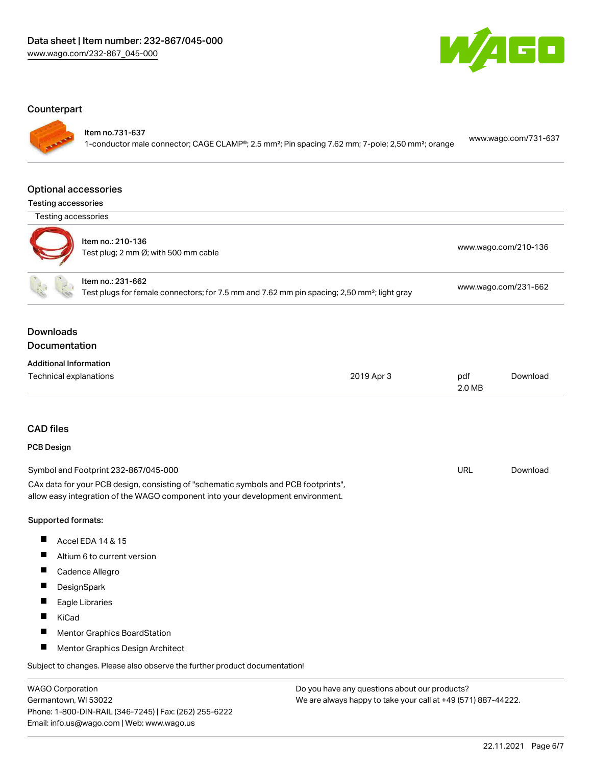

### **Counterpart**

Item no.731-637

1-conductor male connector; CAGE CLAMP®; 2.5 mm²; Pin spacing 7.62 mm; 7-pole; 2,50 mm²; orange [www.wago.com/731-637](https://www.wago.com/731-637)

#### Optional accessories

| <b>Testing accessories</b> |  |
|----------------------------|--|
|----------------------------|--|

Testing accessories



| oung aoocooonico |                                                           |                      |
|------------------|-----------------------------------------------------------|----------------------|
|                  | Item no.: 210-136<br>Test plug; 2 mm Ø; with 500 mm cable | www.wago.com/210-136 |
|                  | ltem no.: 231-662                                         |                      |

Test plugs for female connectors; for 7.5 mm and 7.62 mm pin spacing; 2,50 mm²; light gray [www.wago.com/231-662](http://www.wago.com/231-662)

## Downloads Documentation

| <b>Additional Information</b> |            |        |          |
|-------------------------------|------------|--------|----------|
| Technical explanations        | 2019 Apr 3 | pdf    | Download |
|                               |            | 2.0 MB |          |

# CAD files

#### PCB Design

| Symbol and Footprint 232-867/045-000                                                | URL | Download |
|-------------------------------------------------------------------------------------|-----|----------|
| CAx data for your PCB design, consisting of "schematic symbols and PCB footprints", |     |          |
| allow easy integration of the WAGO component into your development environment.     |     |          |

#### Supported formats:

- $\blacksquare$ Accel EDA 14 & 15
- $\blacksquare$ Altium 6 to current version
- $\blacksquare$ Cadence Allegro
- $\blacksquare$ **DesignSpark**
- $\blacksquare$ Eagle Libraries
- $\blacksquare$ KiCad
- $\blacksquare$ Mentor Graphics BoardStation
- $\blacksquare$ Mentor Graphics Design Architect

Subject to changes. Please also observe the further product documentation!

WAGO Corporation Germantown, WI 53022 Phone: 1-800-DIN-RAIL (346-7245) | Fax: (262) 255-6222 Email: info.us@wago.com | Web: www.wago.us